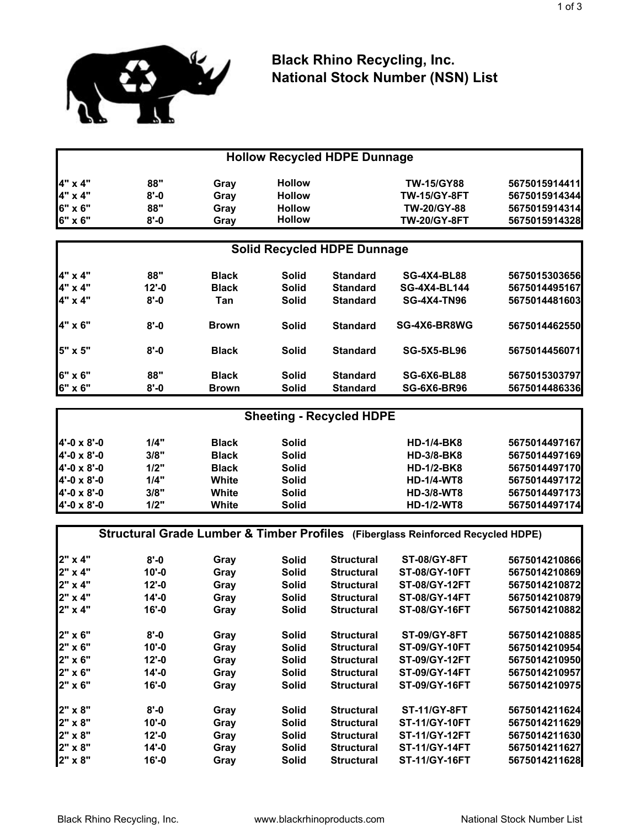

## **Black Rhino Recycling, Inc. National Stock Number (NSN) List**

|         |          |              |               | <b>Hollow Recycled HDPE Dunnage</b> |                     |               |
|---------|----------|--------------|---------------|-------------------------------------|---------------------|---------------|
| 4" x 4" | 88"      | Gray         | <b>Hollow</b> |                                     | <b>TW-15/GY88</b>   | 5675015914411 |
| 4" x 4" | $8 - 0$  | Gray         | <b>Hollow</b> |                                     | <b>TW-15/GY-8FT</b> | 5675015914344 |
| 6" x 6" | 88"      | Gray         | <b>Hollow</b> |                                     | <b>TW-20/GY-88</b>  | 5675015914314 |
| 6" x 6" | $8 - 0$  | Gray         | <b>Hollow</b> |                                     | <b>TW-20/GY-8FT</b> | 5675015914328 |
|         |          |              |               | <b>Solid Recycled HDPE Dunnage</b>  |                     |               |
| 4" x 4" | 88"      | <b>Black</b> | <b>Solid</b>  | <b>Standard</b>                     | <b>SG-4X4-BL88</b>  | 5675015303656 |
| 4" x 4" | $12 - 0$ | <b>Black</b> | <b>Solid</b>  | <b>Standard</b>                     | <b>SG-4X4-BL144</b> | 5675014495167 |
| 4" x 4" | $8 - 0$  | Tan          | <b>Solid</b>  | <b>Standard</b>                     | <b>SG-4X4-TN96</b>  | 5675014481603 |
| 4" x 6" | $8 - 0$  | <b>Brown</b> | <b>Solid</b>  | <b>Standard</b>                     | SG-4X6-BR8WG        | 5675014462550 |
| 5" x 5" | $8 - 0$  | <b>Black</b> | <b>Solid</b>  | <b>Standard</b>                     | <b>SG-5X5-BL96</b>  | 5675014456071 |
| 6" x 6" | 88"      | <b>Black</b> | <b>Solid</b>  | <b>Standard</b>                     | <b>SG-6X6-BL88</b>  | 5675015303797 |
| 6" x 6" | $8 - 0$  | <b>Brown</b> | <b>Solid</b>  | <b>Standard</b>                     | <b>SG-6X6-BR96</b>  | 5675014486336 |

| <b>Sheeting - Recycled HDPE</b> |      |              |              |                   |               |  |  |
|---------------------------------|------|--------------|--------------|-------------------|---------------|--|--|
| 4'-0 x 8'-0                     | 1/4" | <b>Black</b> | Solid        | <b>HD-1/4-BK8</b> | 5675014497167 |  |  |
| 4'-0 x 8'-0                     | 3/8" | <b>Black</b> | Solid        | <b>HD-3/8-BK8</b> | 5675014497169 |  |  |
| 4'-0 x 8'-0                     | 1/2" | <b>Black</b> | Solid        | $HD-1/2-BK8$      | 5675014497170 |  |  |
| 4'-0 x 8'-0                     | 1/4" | White        | Solid        | <b>HD-1/4-WT8</b> | 5675014497172 |  |  |
| 4'-0 x 8'-0                     | 3/8" | White        | Solid        | <b>HD-3/8-WT8</b> | 5675014497173 |  |  |
| 4'-0 x 8'-0                     | 1/2" | White        | <b>Solid</b> | <b>HD-1/2-WT8</b> | 5675014497174 |  |  |

**Structural Grade Lumber & Timber Profiles (Fiberglass Reinforced Recycled HDPE)**

| 2" x 4" | $8 - 0$   | Gray | <b>Solid</b> | <b>Structural</b> | <b>ST-08/GY-8FT</b>  | 5675014210866 |
|---------|-----------|------|--------------|-------------------|----------------------|---------------|
| 2" x 4" | $10' - 0$ | Gray | <b>Solid</b> | <b>Structural</b> | <b>ST-08/GY-10FT</b> | 5675014210869 |
| 2" x 4" | $12 - 0$  | Gray | <b>Solid</b> | <b>Structural</b> | <b>ST-08/GY-12FT</b> | 5675014210872 |
| 2" x 4" | $14' - 0$ | Gray | <b>Solid</b> | <b>Structural</b> | <b>ST-08/GY-14FT</b> | 5675014210879 |
| 2" x 4" | $16' - 0$ | Gray | Solid        | <b>Structural</b> | <b>ST-08/GY-16FT</b> | 5675014210882 |
| 2" x 6" | $8 - 0$   | Gray | <b>Solid</b> | <b>Structural</b> | <b>ST-09/GY-8FT</b>  | 5675014210885 |
| 2" x 6" | $10' - 0$ | Gray | <b>Solid</b> | <b>Structural</b> | <b>ST-09/GY-10FT</b> | 5675014210954 |
| 2" x 6" | $12 - 0$  | Gray | <b>Solid</b> | <b>Structural</b> | <b>ST-09/GY-12FT</b> | 5675014210950 |
| 2" x 6" | $14' - 0$ | Gray | <b>Solid</b> | <b>Structural</b> | <b>ST-09/GY-14FT</b> | 5675014210957 |
| 2" x 6" | $16' - 0$ | Gray | <b>Solid</b> | <b>Structural</b> | <b>ST-09/GY-16FT</b> | 5675014210975 |
| 2" x 8" | $8 - 0$   | Gray | Solid        | <b>Structural</b> | <b>ST-11/GY-8FT</b>  | 5675014211624 |
| 2" x 8" | $10 - 0$  | Gray | <b>Solid</b> | <b>Structural</b> | <b>ST-11/GY-10FT</b> | 5675014211629 |
| 2" x 8" | $12 - 0$  | Gray | Solid        | <b>Structural</b> | <b>ST-11/GY-12FT</b> | 5675014211630 |
| 2" x 8" | $14' - 0$ | Gray | <b>Solid</b> | <b>Structural</b> | <b>ST-11/GY-14FT</b> | 5675014211627 |
| 2" x 8" | $16' - 0$ | Gray | <b>Solid</b> | <b>Structural</b> | <b>ST-11/GY-16FT</b> | 5675014211628 |
|         |           |      |              |                   |                      |               |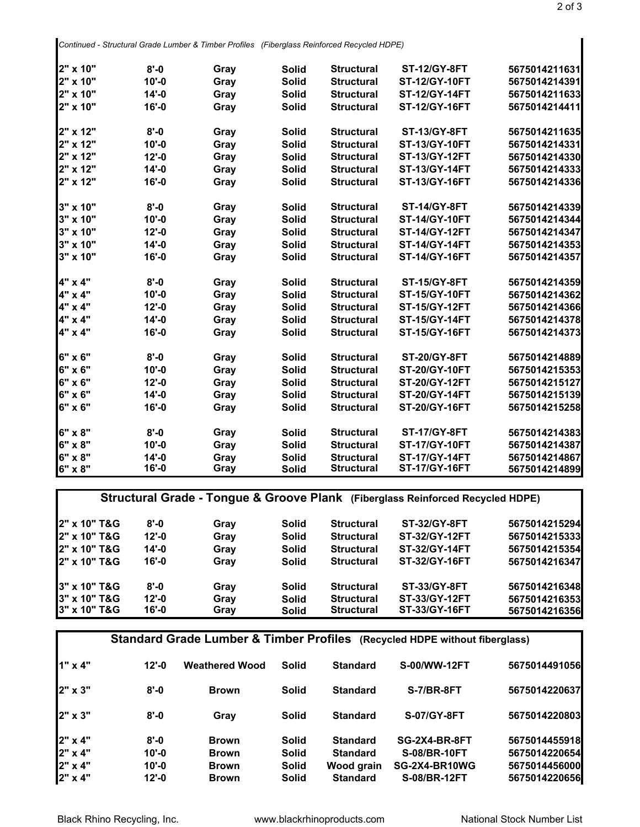*Continued - Structural Grade Lumber & Timber Profiles (Fiberglass Reinforced Recycled HDPE)*

| 2" x 10"        | $8 - 0$   | Gray | <b>Solid</b> | <b>Structural</b> | <b>ST-12/GY-8FT</b>  | 5675014211631 |
|-----------------|-----------|------|--------------|-------------------|----------------------|---------------|
| 2" x 10"        | $10' - 0$ | Gray | <b>Solid</b> | <b>Structural</b> | <b>ST-12/GY-10FT</b> | 5675014214391 |
| 2" x 10"        | $14' - 0$ | Gray | <b>Solid</b> | <b>Structural</b> | <b>ST-12/GY-14FT</b> | 5675014211633 |
| 2" x 10"        | $16' - 0$ | Gray | <b>Solid</b> | <b>Structural</b> | <b>ST-12/GY-16FT</b> | 5675014214411 |
| 2" x 12"        | $8 - 0$   | Gray | <b>Solid</b> | <b>Structural</b> | <b>ST-13/GY-8FT</b>  | 5675014211635 |
| 2" x 12"        | $10' - 0$ | Gray | <b>Solid</b> | <b>Structural</b> | <b>ST-13/GY-10FT</b> | 5675014214331 |
| 2" x 12"        | $12' - 0$ | Gray | <b>Solid</b> | <b>Structural</b> | <b>ST-13/GY-12FT</b> | 5675014214330 |
| 2" x 12"        | $14' - 0$ | Gray | <b>Solid</b> | <b>Structural</b> | <b>ST-13/GY-14FT</b> | 5675014214333 |
| 2" x 12"        | $16' - 0$ | Gray | <b>Solid</b> | <b>Structural</b> | <b>ST-13/GY-16FT</b> | 5675014214336 |
| $3" \times 10"$ | $8 - 0$   | Gray | <b>Solid</b> | <b>Structural</b> | <b>ST-14/GY-8FT</b>  | 5675014214339 |
| 3" x 10"        | $10' - 0$ | Gray | <b>Solid</b> | <b>Structural</b> | <b>ST-14/GY-10FT</b> | 5675014214344 |
| 3" x 10"        | $12 - 0$  | Gray | <b>Solid</b> | <b>Structural</b> | <b>ST-14/GY-12FT</b> | 5675014214347 |
| 3" x 10"        | $14' - 0$ | Gray | <b>Solid</b> | <b>Structural</b> | <b>ST-14/GY-14FT</b> | 5675014214353 |
| 3" x 10"        | $16' - 0$ | Gray | <b>Solid</b> | <b>Structural</b> | <b>ST-14/GY-16FT</b> | 5675014214357 |
| 4" x 4"         | $8 - 0$   | Gray | <b>Solid</b> | <b>Structural</b> | <b>ST-15/GY-8FT</b>  | 5675014214359 |
| 4" x 4"         | $10' - 0$ | Gray | <b>Solid</b> | <b>Structural</b> | <b>ST-15/GY-10FT</b> | 5675014214362 |
| 4" x 4"         | $12 - 0$  | Gray | <b>Solid</b> | <b>Structural</b> | <b>ST-15/GY-12FT</b> | 5675014214366 |
| 4" x 4"         | $14' - 0$ | Gray | <b>Solid</b> | <b>Structural</b> | <b>ST-15/GY-14FT</b> | 5675014214378 |
| 4" x 4"         | $16' - 0$ | Gray | <b>Solid</b> | <b>Structural</b> | <b>ST-15/GY-16FT</b> | 5675014214373 |
| 6" x 6"         | $8 - 0$   | Gray | <b>Solid</b> | <b>Structural</b> | <b>ST-20/GY-8FT</b>  | 5675014214889 |
| 6" x 6"         | $10' - 0$ | Gray | <b>Solid</b> | <b>Structural</b> | <b>ST-20/GY-10FT</b> | 5675014215353 |
| 6" x 6"         | $12' - 0$ | Gray | <b>Solid</b> | <b>Structural</b> | <b>ST-20/GY-12FT</b> | 5675014215127 |
| 6" x 6"         | $14' - 0$ | Gray | <b>Solid</b> | <b>Structural</b> | <b>ST-20/GY-14FT</b> | 5675014215139 |
| 6" x 6"         | $16' - 0$ | Gray | <b>Solid</b> | <b>Structural</b> | <b>ST-20/GY-16FT</b> | 5675014215258 |
| $6" \times 8"$  | $8 - 0$   | Gray | <b>Solid</b> | <b>Structural</b> | <b>ST-17/GY-8FT</b>  | 5675014214383 |
| 6" x 8"         | $10' - 0$ | Gray | <b>Solid</b> | <b>Structural</b> | <b>ST-17/GY-10FT</b> | 5675014214387 |
| 6" x 8"         | $14' - 0$ | Gray | <b>Solid</b> | <b>Structural</b> | <b>ST-17/GY-14FT</b> | 5675014214867 |
| 6" x 8"         | $16 - 0$  | Gray | <b>Solid</b> | <b>Structural</b> | <b>ST-17/GY-16FT</b> | 5675014214899 |

|                         |           |      |              |                   | Structural Grade - Tongue & Groove Plank (Fiberglass Reinforced Recycled HDPE) |               |
|-------------------------|-----------|------|--------------|-------------------|--------------------------------------------------------------------------------|---------------|
| 2" x 10" T&G            | $8' - 0$  | Gray | Solid        | <b>Structural</b> | <b>ST-32/GY-8FT</b>                                                            | 5675014215294 |
| 2" x 10" T&G            | $12 - 0$  | Gray | <b>Solid</b> | <b>Structural</b> | ST-32/GY-12FT                                                                  | 5675014215333 |
| 2" x 10" T&G            | $14' - 0$ | Gray | <b>Solid</b> | <b>Structural</b> | <b>ST-32/GY-14FT</b>                                                           | 5675014215354 |
| <b>2" x 10" T&amp;G</b> | $16' - 0$ | Gray | <b>Solid</b> | <b>Structural</b> | <b>ST-32/GY-16FT</b>                                                           | 5675014216347 |
| 3" x 10" T&G            | $8' - 0$  | Gray | <b>Solid</b> | <b>Structural</b> | <b>ST-33/GY-8FT</b>                                                            | 5675014216348 |
| 3" x 10" T&G            | $12' - 0$ | Gray | <b>Solid</b> | <b>Structural</b> | ST-33/GY-12FT                                                                  | 5675014216353 |
| 3" x 10" T&G            | $16' - 0$ | Gray | <b>Solid</b> | <b>Structural</b> | <b>ST-33/GY-16FT</b>                                                           | 5675014216356 |

|         | Standard Grade Lumber & Timber Profiles (Recycled HDPE without fiberglass) |                       |              |                 |                     |               |  |
|---------|----------------------------------------------------------------------------|-----------------------|--------------|-----------------|---------------------|---------------|--|
| 1" x 4" | $12 - 0$                                                                   | <b>Weathered Wood</b> | <b>Solid</b> | <b>Standard</b> | S-00/WW-12FT        | 5675014491056 |  |
| 2" x 3" | $8 - 0$                                                                    | <b>Brown</b>          | <b>Solid</b> | <b>Standard</b> | S-7/BR-8FT          | 5675014220637 |  |
| 2" x 3" | $8 - 0$                                                                    | Gray                  | <b>Solid</b> | <b>Standard</b> | S-07/GY-8FT         | 5675014220803 |  |
| 2" x 4" | $8 - 0$                                                                    | <b>Brown</b>          | <b>Solid</b> | <b>Standard</b> | SG-2X4-BR-8FT       | 5675014455918 |  |
| 2" x 4" | $10 - 0$                                                                   | <b>Brown</b>          | <b>Solid</b> | <b>Standard</b> | <b>S-08/BR-10FT</b> | 5675014220654 |  |
| 2" x 4" | $10 - 0$                                                                   | <b>Brown</b>          | <b>Solid</b> | Wood grain      | SG-2X4-BR10WG       | 5675014456000 |  |
| 2" x 4" | $12 - 0$                                                                   | <b>Brown</b>          | <b>Solid</b> | <b>Standard</b> | <b>S-08/BR-12FT</b> | 5675014220656 |  |